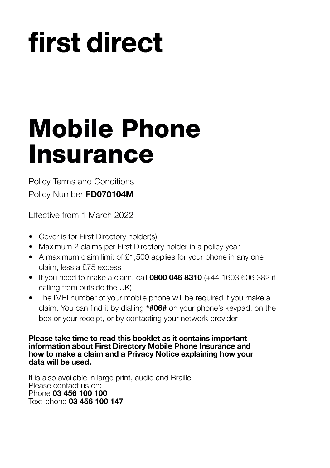# first direct

## **Mobile Phone Insurance**

Policy Terms and Conditions Policy Number **FD070104M**

Effective from 1 March 2022

- Cover is for First Directory holder(s)
- Maximum 2 claims per First Directory holder in a policy year
- A maximum claim limit of £1,500 applies for your phone in any one claim, less a £75 excess
- If you need to make a claim, call **0800 046 8310** (+44 1603 606 382 if calling from outside the UK)
- The IMEI number of your mobile phone will be required if you make a claim. You can find it by dialling **\*#06#** on your phone's keypad, on the box or your receipt, or by contacting your network provider

**Please take time to read this booklet as it contains important information about First Directory Mobile Phone Insurance and how to make a claim and a Privacy Notice explaining how your data will be used.**

It is also available in large print, audio and Braille. Please contact us on: Phone **03 456 100 100** Text-phone **03 456 100 147**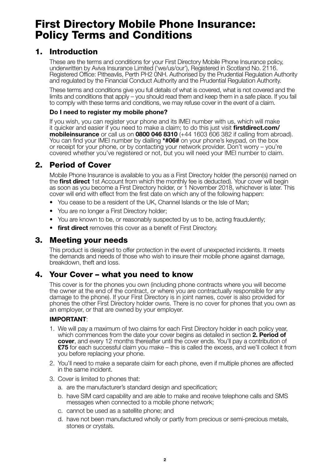## **First Directory Mobile Phone Insurance: Policy Terms and Conditions**

## **1. Introduction**

 These are the terms and conditions for your First Directory Mobile Phone Insurance policy, underwritten by Aviva Insurance Limited ('we/us/our'), Registered in Scotland No. 2116. Registered Office: Pitheavlis, Perth PH2 0NH. Authorised by the Prudential Regulation Authority and regulated by the Financial Conduct Authority and the Prudential Regulation Authority.

 These terms and conditions give you full details of what is covered, what is not covered and the limits and conditions that apply – you should read them and keep them in a safe place. If you fail to comply with these terms and conditions, we may refuse cover in the event of a claim.

#### **Do I need to register my mobile phone?**

 If you wish, you can register your phone and its IMEI number with us, which will make it quicker and easier if you need to make a claim; to do this just visit **firstdirect.com/ mobileinsurance** or call us on **0800 046 8310** (+44 1603 606 382 if calling from abroad). You can find your IMEI number by dialling **\*#06#** on your phone's keypad, on the box or receipt for your phone, or by contacting your network provider. Don't worry – you're covered whether you've registered or not, but you will need your IMEI number to claim.

## **2. Period of Cover**

 Mobile Phone Insurance is available to you as a First Directory holder (the person(s) named on the **first direct** 1st Account from which the monthly fee is deducted). Your cover will begin as soon as you become a First Directory holder, or 1 November 2018, whichever is later. This cover will end with effect from the first date on which any of the following happen:

- You cease to be a resident of the UK, Channel Islands or the Isle of Man;
- You are no longer a First Directory holder;
- You are known to be, or reasonably suspected by us to be, acting fraudulently;
- **first direct** removes this cover as a benefit of First Directory.

## **3. Meeting your needs**

 This product is designed to offer protection in the event of unexpected incidents. It meets the demands and needs of those who wish to insure their mobile phone against damage, breakdown, theft and loss.

## **4. Your Cover – what you need to know**

 This cover is for the phones you own (including phone contracts where you will become the owner at the end of the contract, or where you are contractually responsible for any damage to the phone). If your First Directory is in joint names, cover is also provided for phones the other First Directory holder owns. There is no cover for phones that you own as an employer, or that are owned by your employer.

#### **IMPORTANT**:

- 1. We will pay a maximum of two claims for each First Directory holder in each policy year, which commences from the date your cover begins as detailed in section **2. Period of cover**, and every 12 months thereafter until the cover ends. You'll pay a contribution of **£75** for each successful claim you make – this is called the excess, and we'll collect it from you before replacing your phone.
- 2. You'll need to make a separate claim for each phone, even if multiple phones are affected in the same incident.
- 3. Cover is limited to phones that:
	- a. are the manufacturer's standard design and specification;
	- b. have SIM card capability and are able to make and receive telephone calls and SMS messages when connected to a mobile phone network;
	- c. cannot be used as a satellite phone; and
	- d. have not been manufactured wholly or partly from precious or semi-precious metals, stones or crystals.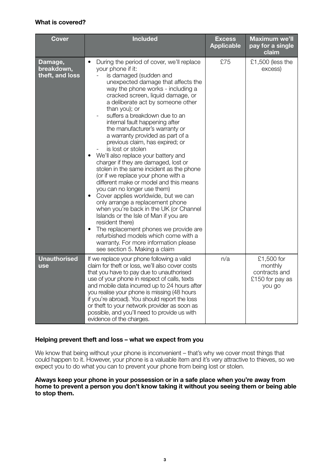#### **What is covered?**

| <b>Cover</b>                             | <b>Included</b>                                                                                                                                                                                                                                                                                                                                                                                                                                                                                                                                                                                                                                                                                                                                                                                                                                                                                                                                                                                                                                                                                            | <b>Excess</b><br><b>Applicable</b> | <b>Maximum we'll</b><br>pay for a single<br>claim                   |
|------------------------------------------|------------------------------------------------------------------------------------------------------------------------------------------------------------------------------------------------------------------------------------------------------------------------------------------------------------------------------------------------------------------------------------------------------------------------------------------------------------------------------------------------------------------------------------------------------------------------------------------------------------------------------------------------------------------------------------------------------------------------------------------------------------------------------------------------------------------------------------------------------------------------------------------------------------------------------------------------------------------------------------------------------------------------------------------------------------------------------------------------------------|------------------------------------|---------------------------------------------------------------------|
| Damage,<br>breakdown,<br>theft, and loss | During the period of cover, we'll replace<br>$\bullet$<br>your phone if it:<br>is damaged (sudden and<br>unexpected damage that affects the<br>way the phone works - including a<br>cracked screen, liquid damage, or<br>a deliberate act by someone other<br>than you); or<br>suffers a breakdown due to an<br>internal fault happening after<br>the manufacturer's warranty or<br>a warranty provided as part of a<br>previous claim, has expired; or<br>is lost or stolen<br>We'll also replace your battery and<br>$\bullet$<br>charger if they are damaged, lost or<br>stolen in the same incident as the phone<br>(or if we replace your phone with a<br>different make or model and this means<br>you can no longer use them)<br>Cover applies worldwide, but we can<br>$\bullet$<br>only arrange a replacement phone<br>when you're back in the UK (or Channel<br>Islands or the Isle of Man if you are<br>resident there)<br>The replacement phones we provide are<br>$\bullet$<br>refurbished models which come with a<br>warranty. For more information please<br>see section 5. Making a claim | £75                                | £1,500 (less the<br>excess)                                         |
| <b>Unauthorised</b><br>use               | If we replace your phone following a valid<br>claim for theft or loss, we'll also cover costs<br>that you have to pay due to unauthorised<br>use of your phone in respect of calls, texts<br>and mobile data incurred up to 24 hours after<br>you realise your phone is missing (48 hours<br>if you're abroad). You should report the loss<br>or theft to your network provider as soon as<br>possible, and you'll need to provide us with<br>evidence of the charges.                                                                                                                                                                                                                                                                                                                                                                                                                                                                                                                                                                                                                                     | n/a                                | £1,500 for<br>monthly<br>contracts and<br>£150 for pay as<br>you go |

#### **Helping prevent theft and loss – what we expect from you**

We know that being without your phone is inconvenient – that's why we cover most things that could happen to it. However, your phone is a valuable item and it's very attractive to thieves, so we expect you to do what you can to prevent your phone from being lost or stolen.

#### **Always keep your phone in your possession or in a safe place when you're away from home to prevent a person you don't know taking it without you seeing them or being able to stop them.**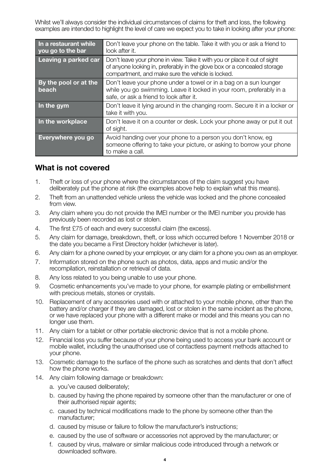Whilst we'll always consider the individual circumstances of claims for theft and loss, the following examples are intended to highlight the level of care we expect you to take in looking after your phone:

| In a restaurant while<br>you go to the bar | Don't leave your phone on the table. Take it with you or ask a friend to<br>look after it.                                                                                                                 |
|--------------------------------------------|------------------------------------------------------------------------------------------------------------------------------------------------------------------------------------------------------------|
| Leaving a parked car                       | Don't leave your phone in view. Take it with you or place it out of sight<br>of anyone looking in, preferably in the glove box or a concealed storage<br>compartment, and make sure the vehicle is locked. |
| By the pool or at the<br>beach             | Don't leave your phone under a towel or in a bag on a sun lounger<br>while you go swimming. Leave it locked in your room, preferably in a<br>safe, or ask a friend to look after it.                       |
| In the gym                                 | Don't leave it lying around in the changing room. Secure it in a locker or<br>take it with you.                                                                                                            |
| In the workplace                           | Don't leave it on a counter or desk. Lock your phone away or put it out<br>of sight.                                                                                                                       |
| Everywhere you go                          | Avoid handing over your phone to a person you don't know, eq<br>someone offering to take your picture, or asking to borrow your phone<br>to make a call.                                                   |

## **What is not covered**

- 1. Theft or loss of your phone where the circumstances of the claim suggest you have deliberately put the phone at risk (the examples above help to explain what this means).
- 2. Theft from an unattended vehicle unless the vehicle was locked and the phone concealed from view.
- 3. Any claim where you do not provide the IMEI number or the IMEI number you provide has previously been recorded as lost or stolen.
- 4. The first £75 of each and every successful claim (the excess).
- 5. Any claim for damage, breakdown, theft, or loss which occurred before 1 November 2018 or the date you became a First Directory holder (whichever is later).
- 6. Any claim for a phone owned by your employer, or any claim for a phone you own as an employer.
- 7. Information stored on the phone such as photos, data, apps and music and/or the recompilation, reinstallation or retrieval of data.
- 8. Any loss related to you being unable to use your phone.
- 9. Cosmetic enhancements you've made to your phone, for example plating or embellishment with precious metals, stones or crystals.
- 10. Replacement of any accessories used with or attached to your mobile phone, other than the battery and/or charger if they are damaged, lost or stolen in the same incident as the phone, or we have replaced your phone with a different make or model and this means you can no longer use them.
- 11. Any claim for a tablet or other portable electronic device that is not a mobile phone.
- 12. Financial loss you suffer because of your phone being used to access your bank account or mobile wallet, including the unauthorised use of contactless payment methods attached to your phone.
- 13. Cosmetic damage to the surface of the phone such as scratches and dents that don't affect how the phone works.
- 14. Any claim following damage or breakdown:
	- a. you've caused deliberately;
	- b. caused by having the phone repaired by someone other than the manufacturer or one of their authorised repair agents;
	- c. caused by technical modifications made to the phone by someone other than the manufacturer;
	- d. caused by misuse or failure to follow the manufacturer's instructions;
	- e. caused by the use of software or accessories not approved by the manufacturer; or
	- f. caused by virus, malware or similar malicious code introduced through a network or downloaded software.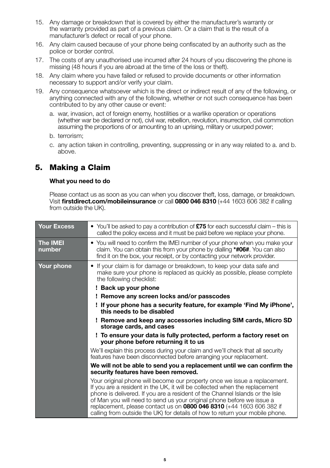- 15. Any damage or breakdown that is covered by either the manufacturer's warranty or the warranty provided as part of a previous claim. Or a claim that is the result of a manufacturer's defect or recall of your phone.
- 16. Any claim caused because of your phone being confiscated by an authority such as the police or border control.
- 17. The costs of any unauthorised use incurred after 24 hours of you discovering the phone is missing (48 hours if you are abroad at the time of the loss or theft).
- 18. Any claim where you have failed or refused to provide documents or other information necessary to support and/or verify your claim.
- 19. Any consequence whatsoever which is the direct or indirect result of any of the following, or anything connected with any of the following, whether or not such consequence has been contributed to by any other cause or event:
	- a. war, invasion, act of foreign enemy, hostilities or a warlike operation or operations (whether war be declared or not), civil war, rebellion, revolution, insurrection, civil commotion assuming the proportions of or amounting to an uprising, military or usurped power;
	- b. terrorism;
	- c. any action taken in controlling, preventing, suppressing or in any way related to a. and b. above.

## **5. Making a Claim**

#### **What you need to do**

 Please contact us as soon as you can when you discover theft, loss, damage, or breakdown. Visit **firstdirect.com/mobileinsurance** or call **0800 046 8310** (+44 1603 606 382 if calling from outside the UK).

| <b>Your Excess</b>        | • You'll be asked to pay a contribution of $£75$ for each successful claim – this is<br>called the policy excess and it must be paid before we replace your phone.                                                                                                                                                                                                                                                                                                              |  |  |
|---------------------------|---------------------------------------------------------------------------------------------------------------------------------------------------------------------------------------------------------------------------------------------------------------------------------------------------------------------------------------------------------------------------------------------------------------------------------------------------------------------------------|--|--|
| <b>The IMEI</b><br>number | • You will need to confirm the IMEI number of your phone when you make your<br>claim. You can obtain this from your phone by dialling <b>*#06#</b> . You can also<br>find it on the box, your receipt, or by contacting your network provider.                                                                                                                                                                                                                                  |  |  |
| Your phone                | If your claim is for damage or breakdown, to keep your data safe and<br>make sure your phone is replaced as quickly as possible, please complete<br>the following checklist:                                                                                                                                                                                                                                                                                                    |  |  |
|                           | ! Back up your phone                                                                                                                                                                                                                                                                                                                                                                                                                                                            |  |  |
|                           | ! Remove any screen locks and/or passcodes                                                                                                                                                                                                                                                                                                                                                                                                                                      |  |  |
|                           | ! If your phone has a security feature, for example 'Find My iPhone',<br>this needs to be disabled                                                                                                                                                                                                                                                                                                                                                                              |  |  |
|                           | ! Remove and keep any accessories including SIM cards, Micro SD<br>storage cards, and cases<br>! To ensure your data is fully protected, perform a factory reset on<br>your phone before returning it to us                                                                                                                                                                                                                                                                     |  |  |
|                           |                                                                                                                                                                                                                                                                                                                                                                                                                                                                                 |  |  |
|                           | We'll explain this process during your claim and we'll check that all security<br>features have been disconnected before arranging your replacement.                                                                                                                                                                                                                                                                                                                            |  |  |
|                           | We will not be able to send you a replacement until we can confirm the<br>security features have been removed.                                                                                                                                                                                                                                                                                                                                                                  |  |  |
|                           | Your original phone will become our property once we issue a replacement.<br>If you are a resident in the UK, it will be collected when the replacement<br>phone is delivered. If you are a resident of the Channel Islands or the Isle<br>of Man you will need to send us your original phone before we issue a<br>replacement, please contact us on <b>0800 046 8310</b> (+44 1603 606 382 if<br>calling from outside the UK) for details of how to return your mobile phone. |  |  |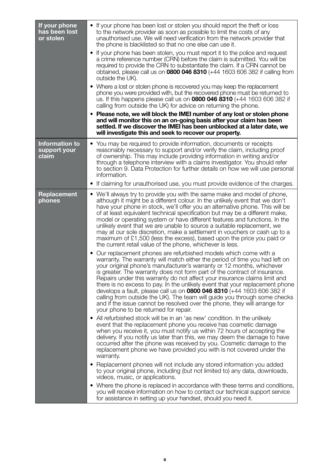| If your phone<br>has been lost<br>or stolen    | If your phone has been lost or stolen you should report the theft or loss<br>to the network provider as soon as possible to limit the costs of any<br>unauthorised use. We will need verification from the network provider that<br>the phone is blacklisted so that no one else can use it.<br>• If your phone has been stolen, you must report it to the police and request<br>a crime reference number (CRN) before the claim is submitted. You will be<br>required to provide the CRN to substantiate the claim. If a CRN cannot be<br>obtained, please call us on 0800 046 8310 (+44 1603 606 382 if calling from<br>outside the UK).<br>• Where a lost or stolen phone is recovered you may keep the replacement<br>phone you were provided with, but the recovered phone must be returned to<br>us. If this happens please call us on 0800 046 8310 (+44 1603 606 382 if<br>calling from outside the UK) for advice on returning the phone.<br>• Please note, we will block the IMEI number of any lost or stolen phone<br>and will monitor this on an on-going basis after your claim has been<br>settled. If we discover the IMEI has been unblocked at a later date, we<br>will investigate this and seek to recover our property.                                                                                                                                                                                                                                                                                                                                                                                                                                                                                                                                                                                                                                                                                                                                                                                                                                                                                                                                                                                                                                                                                                                                 |
|------------------------------------------------|------------------------------------------------------------------------------------------------------------------------------------------------------------------------------------------------------------------------------------------------------------------------------------------------------------------------------------------------------------------------------------------------------------------------------------------------------------------------------------------------------------------------------------------------------------------------------------------------------------------------------------------------------------------------------------------------------------------------------------------------------------------------------------------------------------------------------------------------------------------------------------------------------------------------------------------------------------------------------------------------------------------------------------------------------------------------------------------------------------------------------------------------------------------------------------------------------------------------------------------------------------------------------------------------------------------------------------------------------------------------------------------------------------------------------------------------------------------------------------------------------------------------------------------------------------------------------------------------------------------------------------------------------------------------------------------------------------------------------------------------------------------------------------------------------------------------------------------------------------------------------------------------------------------------------------------------------------------------------------------------------------------------------------------------------------------------------------------------------------------------------------------------------------------------------------------------------------------------------------------------------------------------------------------------------------------------------------------------------------------------------|
| <b>Information to</b><br>support your<br>claim | You may be required to provide information, documents or receipts<br>reasonably necessary to support and/or verify the claim, including proof<br>of ownership. This may include providing information in writing and/or<br>through a telephone interview with a claims investigator. You should refer<br>to section 9. Data Protection for further details on how we will use personal<br>information.<br>If claiming for unauthorised use, you must provide evidence of the charges.                                                                                                                                                                                                                                                                                                                                                                                                                                                                                                                                                                                                                                                                                                                                                                                                                                                                                                                                                                                                                                                                                                                                                                                                                                                                                                                                                                                                                                                                                                                                                                                                                                                                                                                                                                                                                                                                                        |
| Replacement<br>phones                          | • We'll always try to provide you with the same make and model of phone,<br>although it might be a different colour. In the unlikely event that we don't<br>have your phone in stock, we'll offer you an alternative phone. This will be<br>of at least equivalent technical specification but may be a different make,<br>model or operating system or have different features and functions. In the<br>unlikely event that we are unable to source a suitable replacement, we<br>may at our sole discretion, make a settlement in vouchers or cash up to a<br>maximum of $£1,500$ (less the excess), based upon the price you paid or<br>the current retail value of the phone, whichever is less.<br>Our replacement phones are refurbished models which come with a<br>$\bullet$<br>warranty. The warranty will match either the period of time you had left on<br>your original phone's manufacturer's warranty or 12 months, whichever<br>is greater. The warranty does not form part of the contract of insurance.<br>Repairs under this warranty do not affect your insurance claims limit and<br>there is no excess to pay. In the unlikely event that your replacement phone<br>develops a fault, please call us on <b>0800 046 8310</b> (+44 1603 606 382 if<br>calling from outside the UK). The team will guide you through some checks<br>and if the issue cannot be resolved over the phone, they will arrange for<br>your phone to be returned for repair.<br>• All refurbished stock will be in an 'as new' condition. In the unlikely<br>event that the replacement phone you receive has cosmetic damage<br>when you receive it, you must notify us within 72 hours of accepting the<br>delivery. If you notify us later than this, we may deem the damage to have<br>occurred after the phone was received by you. Cosmetic damage to the<br>replacement phone we have provided you with is not covered under the<br>warranty.<br>Replacement phones will not include any stored information you added<br>to your original phone, including (but not limited to) any data, downloads,<br>videos, music, or applications.<br>Where the phone is replaced in accordance with these terms and conditions,<br>you will receive information on how to contact our technical support service<br>for assistance in setting up your handset, should you need it. |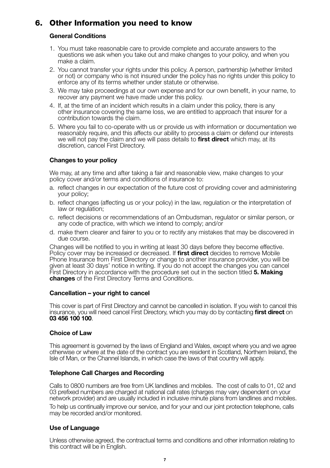## **6. Other Information you need to know**

#### **General Conditions**

- 1. You must take reasonable care to provide complete and accurate answers to the questions we ask when you take out and make changes to your policy, and when you make a claim.
- 2. You cannot transfer your rights under this policy. A person, partnership (whether limited or not) or company who is not insured under the policy has no rights under this policy to enforce any of its terms whether under statute or otherwise.
- 3. We may take proceedings at our own expense and for our own benefit, in your name, to recover any payment we have made under this policy.
- 4. If, at the time of an incident which results in a claim under this policy, there is any other insurance covering the same loss, we are entitled to approach that insurer for a contribution towards the claim.
- 5. Where you fail to co-operate with us or provide us with information or documentation we reasonably require, and this affects our ability to process a claim or defend our interests we will not pay the claim and we will pass details to **first direct** which may, at its discretion, cancel First Directory.

#### **Changes to your policy**

 We may, at any time and after taking a fair and reasonable view, make changes to your policy cover and/or terms and conditions of insurance to:

- a. reflect changes in our expectation of the future cost of providing cover and administering your policy;
- b. reflect changes (affecting us or your policy) in the law, regulation or the interpretation of law or regulation;
- c. reflect decisions or recommendations of an Ombudsman, regulator or similar person, or any code of practice, with which we intend to comply; and/or
- d. make them clearer and fairer to you or to rectify any mistakes that may be discovered in due course.

 Changes will be notified to you in writing at least 30 days before they become effective. Policy cover may be increased or decreased. If **first direct** decides to remove Mobile Phone Insurance from First Directory or change to another insurance provider, you will be given at least 30 days' notice in writing. If you do not accept the changes you can cancel First Directory in accordance with the procedure set out in the section titled **5. Making changes** of the First Directory Terms and Conditions.

#### **Cancellation – your right to cancel**

 This cover is part of First Directory and cannot be cancelled in isolation. If you wish to cancel this insurance, you will need cancel First Directory, which you may do by contacting **first direct** on **03 456 100 100**.

#### **Choice of Law**

 This agreement is governed by the laws of England and Wales, except where you and we agree otherwise or where at the date of the contract you are resident in Scotland, Northern Ireland, the Isle of Man, or the Channel Islands, in which case the laws of that country will apply.

#### **Telephone Call Charges and Recording**

 Calls to 0800 numbers are free from UK landlines and mobiles. The cost of calls to 01, 02 and 03 prefixed numbers are charged at national call rates (charges may vary dependent on your network provider) and are usually included in inclusive minute plans from landlines and mobiles.

 To help us continually improve our service, and for your and our joint protection telephone, calls may be recorded and/or monitored.

#### **Use of Language**

 Unless otherwise agreed, the contractual terms and conditions and other information relating to this contract will be in English.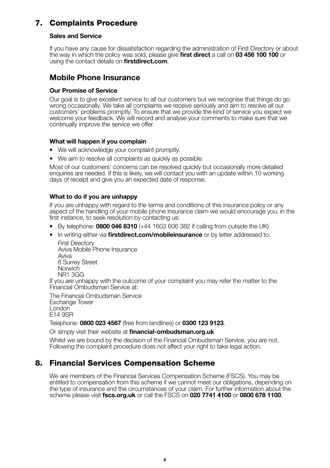## **7. Complaints Procedure**

#### **Sales and Service**

 If you have any cause for dissatisfaction regarding the administration of First Directory or about the way in which the policy was sold, please give **first direct** a call on **03 456 100 100** or using the contact details on **firstdirect.com**.

### **Mobile Phone Insurance**

#### **Our Promise of Service**

 Our goal is to give excellent service to all our customers but we recognise that things do go wrong occasionally. We take all complaints we receive seriously and aim to resolve all our customers' problems promptly. To ensure that we provide the kind of service you expect we welcome your feedback. We will record and analyse your comments to make sure that we continually improve the service we offer.

#### **What will happen if you complain**

- We will acknowledge your complaint promptly.
- We aim to resolve all complaints as quickly as possible.

 Most of our customers' concerns can be resolved quickly but occasionally more detailed enquiries are needed. If this is likely, we will contact you with an update within 10 working days of receipt and give you an expected date of response.

#### **What to do if you are unhappy**

 If you are unhappy with regard to the terms and conditions of this insurance policy or any aspect of the handling of your mobile phone insurance claim we would encourage you, in the first instance, to seek resolution by contacting us:

- By telephone: **0800 046 8310** (+44 1603 606 382 if calling from outside the UK)
- In writing either via **firstdirect.com/mobileinsurance** or by letter addressed to:

 First Directory Aviva Mobile Phone Insurance Aviva 8 Surrey Street Norwich NR1 3GG

 If you are unhappy with the outcome of your complaint you may refer the matter to the Financial Ombudsman Service at:

 The Financial Ombudsman Service Exchange Tower London<sup>-</sup> E14 9SR

Telephone: **0800 023 4567** (free from landlines) or **0300 123 9123**.

Or simply visit their website at **financial-ombudsman.org.uk**

 Whilst we are bound by the decision of the Financial Ombudsman Service, you are not. Following the complaint procedure does not affect your right to take legal action.

## **8. Financial Services Compensation Scheme**

We are members of the Financial Services Compensation Scheme (FSCS). You may be entitled to compensation from this scheme if we cannot meet our obligations, depending on the type of insurance and the circumstances of your claim. For further information about the scheme please visit **fscs.org.uk** or call the FSCS on **020 7741 4100** or **0800 678 1100**.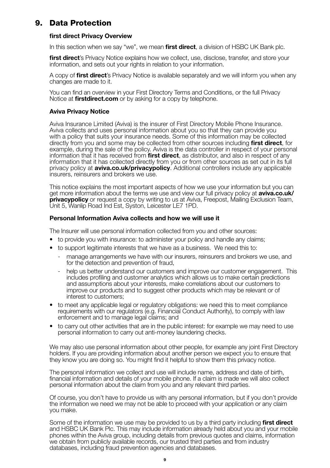## **9. Data Protection**

#### **first direct Privacy Overview**

In this section when we say "we", we mean **first direct**, a division of HSBC UK Bank plc.

 **first direct**'s Privacy Notice explains how we collect, use, disclose, transfer, and store your information, and sets out your rights in relation to your information.

 A copy of **first direct**'s Privacy Notice is available separately and we will inform you when any changes are made to it.

 You can find an overview in your First Directory Terms and Conditions, or the full Privacy Notice at **firstdirect.com** or by asking for a copy by telephone.

#### **Aviva Privacy Notice**

 Aviva Insurance Limited (Aviva) is the insurer of First Directory Mobile Phone Insurance. Aviva collects and uses personal information about you so that they can provide you with a policy that suits your insurance needs. Some of this information may be collected directly from you and some may be collected from other sources including **first direct**, for example, during the sale of the policy. Aviva is the data controller in respect of your personal information that it has received from **first direct**, as distributor, and also in respect of any information that it has collected directly from you or from other sources as set out in its full privacy policy at **aviva.co.uk/privacypolicy**. Additional controllers include any applicable insurers, reinsurers and brokers we use.

 This notice explains the most important aspects of how we use your information but you can get more information about the terms we use and view our full privacy policy at **aviva.co.uk/ privacypolicy** or request a copy by writing to us at Aviva, Freepost, Mailing Exclusion Team, Unit 5, Wanlip Road Ind Est, Syston, Leicester LE7 1PD.

#### **Personal Information Aviva collects and how we will use it**

The Insurer will use personal information collected from you and other sources:

- to provide you with insurance: to administer your policy and handle any claims:
- to support legitimate interests that we have as a business. We need this to:
	- manage arrangements we have with our insurers, reinsurers and brokers we use, and for the detection and prevention of fraud,
	- help us better understand our customers and improve our customer engagement. This includes profiling and customer analytics which allows us to make certain predictions and assumptions about your interests, make correlations about our customers to improve our products and to suggest other products which may be relevant or of interest to customers;
- to meet any applicable legal or regulatory obligations: we need this to meet compliance requirements with our regulators (e.g. Financial Conduct Authority), to comply with law enforcement and to manage legal claims; and
- to carry out other activities that are in the public interest: for example we may need to use personal information to carry out anti-money laundering checks.

 We may also use personal information about other people, for example any joint First Directory holders. If you are providing information about another person we expect you to ensure that they know you are doing so. You might find it helpful to show them this privacy notice.

 The personal information we collect and use will include name, address and date of birth, financial information and details of your mobile phone. If a claim is made we will also collect personal information about the claim from you and any relevant third parties.

 Of course, you don't have to provide us with any personal information, but if you don't provide the information we need we may not be able to proceed with your application or any claim you make.

 Some of the information we use may be provided to us by a third party including **first direct** and HSBC UK Bank Plc. This may include information already held about you and your mobile phones within the Aviva group, including details from previous quotes and claims, information we obtain from publicly available records, our trusted third parties and from industry databases, including fraud prevention agencies and databases.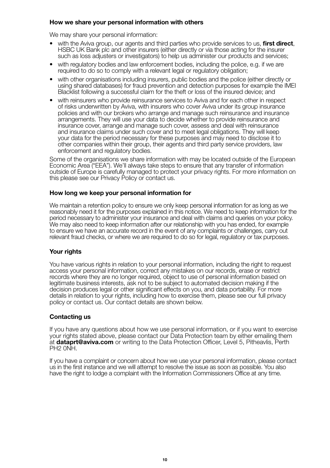#### **How we share your personal information with others**

We may share your personal information:

- with the Aviva group, our agents and third parties who provide services to us, **first direct**, HSBC UK Bank plc and other insurers (either directly or via those acting for the insurer such as loss adjusters or investigators) to help us administer our products and services;
- with regulatory bodies and law enforcement bodies, including the police, e.g. if we are required to do so to comply with a relevant legal or regulatory obligation;
- with other organisations including insurers, public bodies and the police (either directly or using shared databases) for fraud prevention and detection purposes for example the IMEI Blacklist following a successful claim for the theft or loss of the insured device; and
- with reinsurers who provide reinsurance services to Aviva and for each other in respect of risks underwritten by Aviva, with insurers who cover Aviva under its group insurance policies and with our brokers who arrange and manage such reinsurance and insurance arrangements. They will use your data to decide whether to provide reinsurance and insurance cover, arrange and manage such cover, assess and deal with reinsurance and insurance claims under such cover and to meet legal obligations. They will keep your data for the period necessary for these purposes and may need to disclose it to other companies within their group, their agents and third party service providers, law enforcement and regulatory bodies.

 Some of the organisations we share information with may be located outside of the European Economic Area ("EEA"). We'll always take steps to ensure that any transfer of information outside of Europe is carefully managed to protect your privacy rights. For more information on this please see our Privacy Policy or contact us.

#### **How long we keep your personal information for**

 We maintain a retention policy to ensure we only keep personal information for as long as we reasonably need it for the purposes explained in this notice. We need to keep information for the period necessary to administer your insurance and deal with claims and queries on your policy. We may also need to keep information after our relationship with you has ended, for example to ensure we have an accurate record in the event of any complaints or challenges, carry out relevant fraud checks, or where we are required to do so for legal, regulatory or tax purposes.

#### **Your rights**

 You have various rights in relation to your personal information, including the right to request access your personal information, correct any mistakes on our records, erase or restrict records where they are no longer required, object to use of personal information based on legitimate business interests, ask not to be subject to automated decision making if the decision produces legal or other significant effects on you, and data portability. For more details in relation to your rights, including how to exercise them, please see our full privacy policy or contact us. Our contact details are shown below.

#### **Contacting us**

 If you have any questions about how we use personal information, or if you want to exercise your rights stated above, please contact our Data Protection team by either emailing them at **dataprt@aviva.com** or writing to the Data Protection Officer, Level 5, Pitheavlis, Perth PH2 0NH.

 If you have a complaint or concern about how we use your personal information, please contact us in the first instance and we will attempt to resolve the issue as soon as possible. You also have the right to lodge a complaint with the Information Commissioners Office at any time.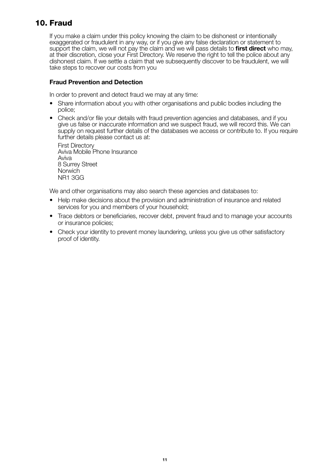## **10. Fraud**

 If you make a claim under this policy knowing the claim to be dishonest or intentionally exaggerated or fraudulent in any way, or if you give any false declaration or statement to support the claim, we will not pay the claim and we will pass details to **first direct** who may, at their discretion, close your First Directory. We reserve the right to tell the police about any dishonest claim. If we settle a claim that we subsequently discover to be fraudulent, we will take steps to recover our costs from you

#### **Fraud Prevention and Detection**

In order to prevent and detect fraud we may at any time:

- Share information about you with other organisations and public bodies including the police;
- Check and/or file your details with fraud prevention agencies and databases, and if you give us false or inaccurate information and we suspect fraud, we will record this. We can supply on request further details of the databases we access or contribute to. If you require further details please contact us at:

 First Directory Aviva Mobile Phone Insurance Aviva 8 Surrey Street **Norwich** NR1 3GG

We and other organisations may also search these agencies and databases to:

- Help make decisions about the provision and administration of insurance and related services for you and members of your household;
- Trace debtors or beneficiaries, recover debt, prevent fraud and to manage your accounts or insurance policies;
- Check your identity to prevent money laundering, unless you give us other satisfactory proof of identity.